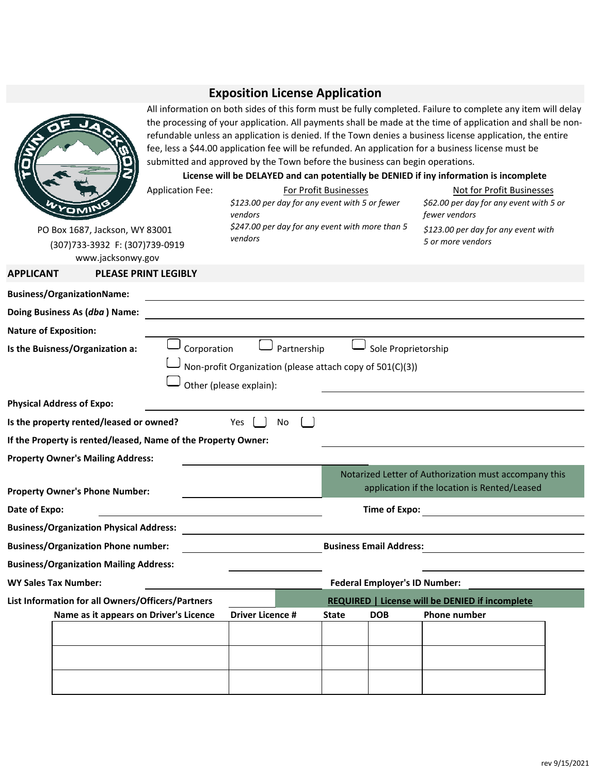## **Exposition License Application**

|                                                                                       | All information on both sides of this form must be fully completed. Failure to complete any item will delay<br>the processing of your application. All payments shall be made at the time of application and shall be non-<br>refundable unless an application is denied. If the Town denies a business license application, the entire<br>fee, less a \$44.00 application fee will be refunded. An application for a business license must be<br>submitted and approved by the Town before the business can begin operations.<br>License will be DELAYED and can potentially be DENIED if iny information is incomplete |                                                                                                     |              |                                      |                                                                                                       |  |  |  |
|---------------------------------------------------------------------------------------|--------------------------------------------------------------------------------------------------------------------------------------------------------------------------------------------------------------------------------------------------------------------------------------------------------------------------------------------------------------------------------------------------------------------------------------------------------------------------------------------------------------------------------------------------------------------------------------------------------------------------|-----------------------------------------------------------------------------------------------------|--------------|--------------------------------------|-------------------------------------------------------------------------------------------------------|--|--|--|
|                                                                                       | <b>Application Fee:</b>                                                                                                                                                                                                                                                                                                                                                                                                                                                                                                                                                                                                  | <b>For Profit Businesses</b><br>\$123.00 per day for any event with 5 or fewer<br>vendors           |              |                                      | Not for Profit Businesses<br>\$62.00 per day for any event with 5 or<br>fewer vendors                 |  |  |  |
| PO Box 1687, Jackson, WY 83001<br>(307)733-3932 F: (307)739-0919<br>www.jacksonwy.gov |                                                                                                                                                                                                                                                                                                                                                                                                                                                                                                                                                                                                                          | \$247.00 per day for any event with more than 5<br>vendors                                          |              |                                      | \$123.00 per day for any event with<br>5 or more vendors                                              |  |  |  |
| <b>APPLICANT</b>                                                                      | <b>PLEASE PRINT LEGIBLY</b>                                                                                                                                                                                                                                                                                                                                                                                                                                                                                                                                                                                              |                                                                                                     |              |                                      |                                                                                                       |  |  |  |
| <b>Business/OrganizationName:</b>                                                     |                                                                                                                                                                                                                                                                                                                                                                                                                                                                                                                                                                                                                          |                                                                                                     |              |                                      |                                                                                                       |  |  |  |
| Doing Business As (dba) Name:                                                         |                                                                                                                                                                                                                                                                                                                                                                                                                                                                                                                                                                                                                          |                                                                                                     |              |                                      |                                                                                                       |  |  |  |
| <b>Nature of Exposition:</b>                                                          |                                                                                                                                                                                                                                                                                                                                                                                                                                                                                                                                                                                                                          |                                                                                                     |              |                                      |                                                                                                       |  |  |  |
| Is the Buisness/Organization a:                                                       | Corporation                                                                                                                                                                                                                                                                                                                                                                                                                                                                                                                                                                                                              | Partnership<br>Non-profit Organization (please attach copy of 501(C)(3))<br>Other (please explain): |              | Sole Proprietorship                  |                                                                                                       |  |  |  |
| <b>Physical Address of Expo:</b>                                                      |                                                                                                                                                                                                                                                                                                                                                                                                                                                                                                                                                                                                                          |                                                                                                     |              |                                      |                                                                                                       |  |  |  |
| Is the property rented/leased or owned?                                               |                                                                                                                                                                                                                                                                                                                                                                                                                                                                                                                                                                                                                          | Yes<br>No                                                                                           |              |                                      |                                                                                                       |  |  |  |
| If the Property is rented/leased, Name of the Property Owner:                         |                                                                                                                                                                                                                                                                                                                                                                                                                                                                                                                                                                                                                          |                                                                                                     |              |                                      |                                                                                                       |  |  |  |
| <b>Property Owner's Mailing Address:</b>                                              |                                                                                                                                                                                                                                                                                                                                                                                                                                                                                                                                                                                                                          |                                                                                                     |              |                                      |                                                                                                       |  |  |  |
| <b>Property Owner's Phone Number:</b>                                                 |                                                                                                                                                                                                                                                                                                                                                                                                                                                                                                                                                                                                                          |                                                                                                     |              |                                      | Notarized Letter of Authorization must accompany this<br>application if the location is Rented/Leased |  |  |  |
| Date of Expo:                                                                         |                                                                                                                                                                                                                                                                                                                                                                                                                                                                                                                                                                                                                          |                                                                                                     |              | <b>Time of Expo:</b>                 |                                                                                                       |  |  |  |
| <b>Business/Organization Physical Address:</b>                                        |                                                                                                                                                                                                                                                                                                                                                                                                                                                                                                                                                                                                                          |                                                                                                     |              |                                      |                                                                                                       |  |  |  |
| <b>Business/Organization Phone number:</b>                                            |                                                                                                                                                                                                                                                                                                                                                                                                                                                                                                                                                                                                                          |                                                                                                     |              | <b>Business Email Address:</b>       |                                                                                                       |  |  |  |
| <b>Business/Organization Mailing Address:</b>                                         |                                                                                                                                                                                                                                                                                                                                                                                                                                                                                                                                                                                                                          |                                                                                                     |              |                                      |                                                                                                       |  |  |  |
| <b>WY Sales Tax Number:</b>                                                           |                                                                                                                                                                                                                                                                                                                                                                                                                                                                                                                                                                                                                          |                                                                                                     |              | <b>Federal Employer's ID Number:</b> |                                                                                                       |  |  |  |
| List Information for all Owners/Officers/Partners                                     |                                                                                                                                                                                                                                                                                                                                                                                                                                                                                                                                                                                                                          |                                                                                                     |              |                                      | <b>REQUIRED   License will be DENIED if incomplete</b>                                                |  |  |  |
|                                                                                       | Name as it appears on Driver's Licence                                                                                                                                                                                                                                                                                                                                                                                                                                                                                                                                                                                   | <b>Driver Licence #</b>                                                                             | <b>State</b> | <b>DOB</b>                           | <b>Phone number</b>                                                                                   |  |  |  |
|                                                                                       |                                                                                                                                                                                                                                                                                                                                                                                                                                                                                                                                                                                                                          |                                                                                                     |              |                                      |                                                                                                       |  |  |  |
|                                                                                       |                                                                                                                                                                                                                                                                                                                                                                                                                                                                                                                                                                                                                          |                                                                                                     |              |                                      |                                                                                                       |  |  |  |
|                                                                                       |                                                                                                                                                                                                                                                                                                                                                                                                                                                                                                                                                                                                                          |                                                                                                     |              |                                      |                                                                                                       |  |  |  |
|                                                                                       |                                                                                                                                                                                                                                                                                                                                                                                                                                                                                                                                                                                                                          |                                                                                                     |              |                                      |                                                                                                       |  |  |  |